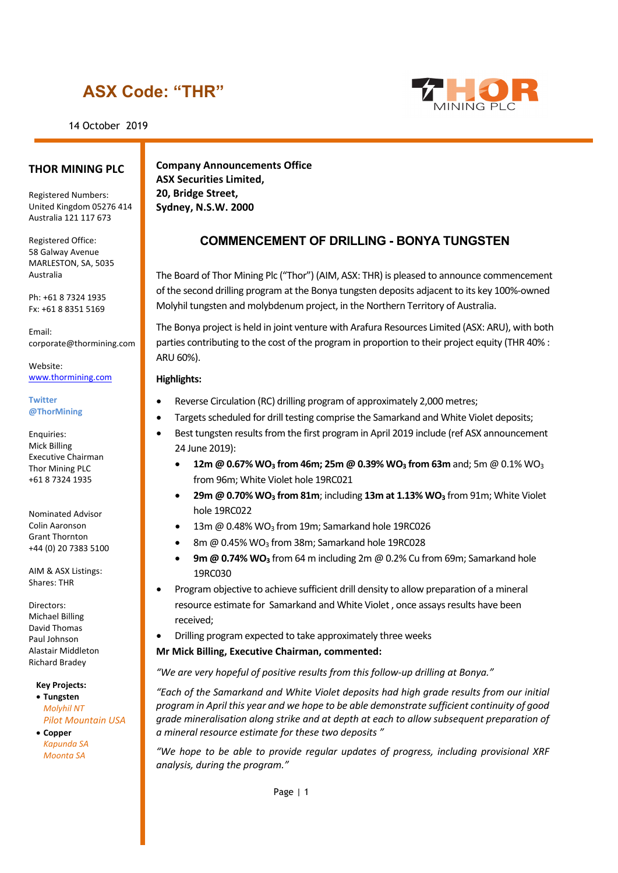### **ASX Code: "THR"**

14 October 2019



#### **THOR MINING PLC**

Registered Numbers: United Kingdom 05276 414 Australia 121 117 673

Registered Office: 58 Galway Avenue MARLESTON, SA, 5035 Australia

Ph: +61 8 7324 1935 Fx: +61 8 8351 5169

Email: corporate@thormining.com

Website: [www.thormining.com](http://www.thormining.com/)

#### **Twitter @ThorMining**

Enquiries: Mick Billing Executive Chairman Thor Mining PLC +61 8 7324 1935

Nominated Advisor Colin Aaronson Grant Thornton +44 (0) 20 7383 5100

AIM & ASX Listings: Shares: THR

Directors: Michael Billing David Thomas Paul Johnson Alastair Middleton Richard Bradey

**Key Projects:**

• **Tungsten** *Molyhil NT Pilot Mountain USA*

• **Copper** *Kapunda SA Moonta SA*

**Company Announcements Office ASX Securities Limited, 20, Bridge Street, Sydney, N.S.W. 2000**

### **COMMENCEMENT OF DRILLING - BONYA TUNGSTEN**

The Board of Thor Mining Plc ("Thor") (AIM, ASX: THR) is pleased to announce commencement of the second drilling program at the Bonya tungsten deposits adjacent to its key 100%-owned Molyhil tungsten and molybdenum project, in the Northern Territory of Australia.

The Bonya project is held in joint venture with Arafura Resources Limited (ASX: ARU), with both parties contributing to the cost of the program in proportion to their project equity (THR 40% : ARU 60%).

### **Highlights:**

- Reverse Circulation (RC) drilling program of approximately 2,000 metres;
- Targets scheduled for drill testing comprise the Samarkand and White Violet deposits;
- Best tungsten results from the first program in April 2019 include (ref ASX announcement 24 June 2019):
	- **12m @ 0.67% WO3 from 46m; 25m @ 0.39% WO3 from 63m** and; 5m @ 0.1% WO3 from 96m; White Violet hole 19RC021
	- **29m @ 0.70% WO<sub>3</sub> from 81m**; including 13m at 1.13% WO<sub>3</sub> from 91m; White Violet hole 19RC022
	- 13m @ 0.48% WO<sub>3</sub> from 19m; Samarkand hole 19RC026
	- 8m @ 0.45% WO<sub>3</sub> from 38m; Samarkand hole 19RC028
	- **9m @ 0.74% WO3** from 64 m including 2m @ 0.2% Cu from 69m; Samarkand hole 19RC030
- Program objective to achieve sufficient drill density to allow preparation of a mineral resource estimate for Samarkand and White Violet , once assays results have been received;
- Drilling program expected to take approximately three weeks
- **Mr Mick Billing, Executive Chairman, commented:**

*"We are very hopeful of positive results from this follow-up drilling at Bonya."*

*"Each of the Samarkand and White Violet deposits had high grade results from our initial program in April this year and we hope to be able demonstrate sufficient continuity of good grade mineralisation along strike and at depth at each to allow subsequent preparation of a mineral resource estimate for these two deposits "*

*"We hope to be able to provide regular updates of progress, including provisional XRF analysis, during the program."*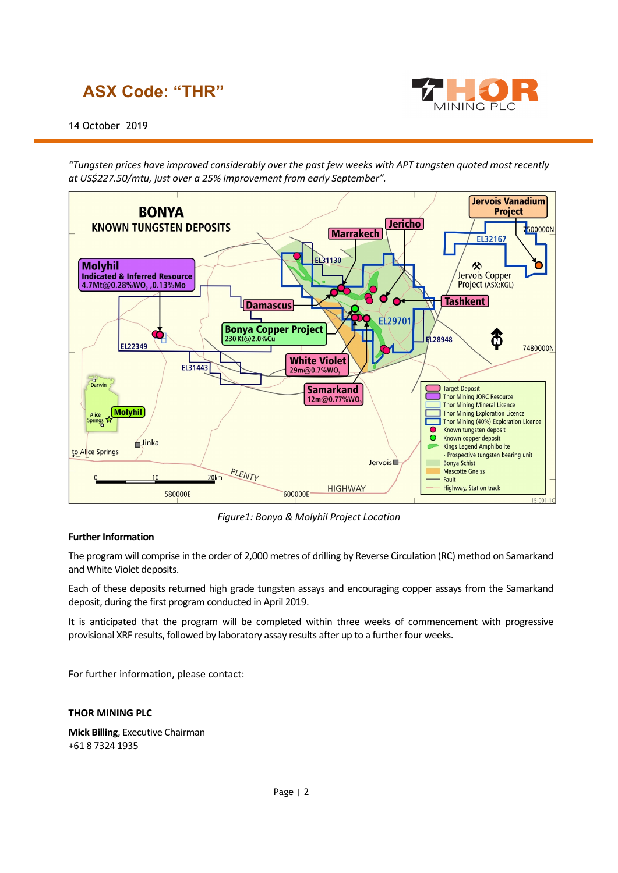# **ASX Code: "THR"**



*"Tungsten prices have improved considerably over the past few weeks with APT tungsten quoted most recently at US\$227.50/mtu, just over a 25% improvement from early September".* 



*Figure1: Bonya & Molyhil Project Location*

### **Further Information**

The program will comprise in the order of 2,000 metres of drilling by Reverse Circulation (RC) method on Samarkand and White Violet deposits.

Each of these deposits returned high grade tungsten assays and encouraging copper assays from the Samarkand deposit, during the first program conducted in April 2019.

It is anticipated that the program will be completed within three weeks of commencement with progressive provisional XRF results, followed by laboratory assay results after up to a further four weeks.

For further information, please contact:

#### **THOR MINING PLC**

**Mick Billing**, Executive Chairman +61 8 7324 1935